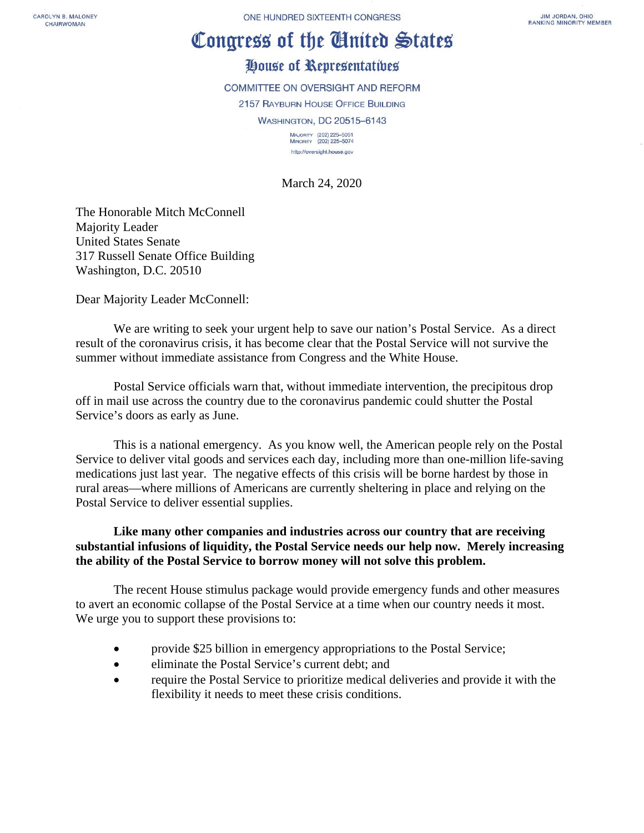CAROLYN B. MALONEY CHAIRWOMAN

ONE HUNDRED SIXTEENTH CONGRESS

## Congress of the Cinited States

## House of Representatives

COMMITTEE ON OVERSIGHT AND REFORM 2157 RAYBURN HOUSE OFFICE BUILDING WASHINGTON, DC 20515-6143 MAJORITY (202) 225-5051

MINORITY (202) 225-5074 http://oversight.house.gov

March 24, 2020

The Honorable Mitch McConnell Majority Leader United States Senate 317 Russell Senate Office Building Washington, D.C. 20510

Dear Majority Leader McConnell:

We are writing to seek your urgent help to save our nation's Postal Service. As a direct result of the coronavirus crisis, it has become clear that the Postal Service will not survive the summer without immediate assistance from Congress and the White House.

Postal Service officials warn that, without immediate intervention, the precipitous drop off in mail use across the country due to the coronavirus pandemic could shutter the Postal Service's doors as early as June.

This is a national emergency. As you know well, the American people rely on the Postal Service to deliver vital goods and services each day, including more than one-million life-saving medications just last year. The negative effects of this crisis will be borne hardest by those in rural areas—where millions of Americans are currently sheltering in place and relying on the Postal Service to deliver essential supplies.

**Like many other companies and industries across our country that are receiving substantial infusions of liquidity, the Postal Service needs our help now. Merely increasing the ability of the Postal Service to borrow money will not solve this problem.** 

The recent House stimulus package would provide emergency funds and other measures to avert an economic collapse of the Postal Service at a time when our country needs it most. We urge you to support these provisions to:

- provide \$25 billion in emergency appropriations to the Postal Service;
- eliminate the Postal Service's current debt; and
- require the Postal Service to prioritize medical deliveries and provide it with the flexibility it needs to meet these crisis conditions.